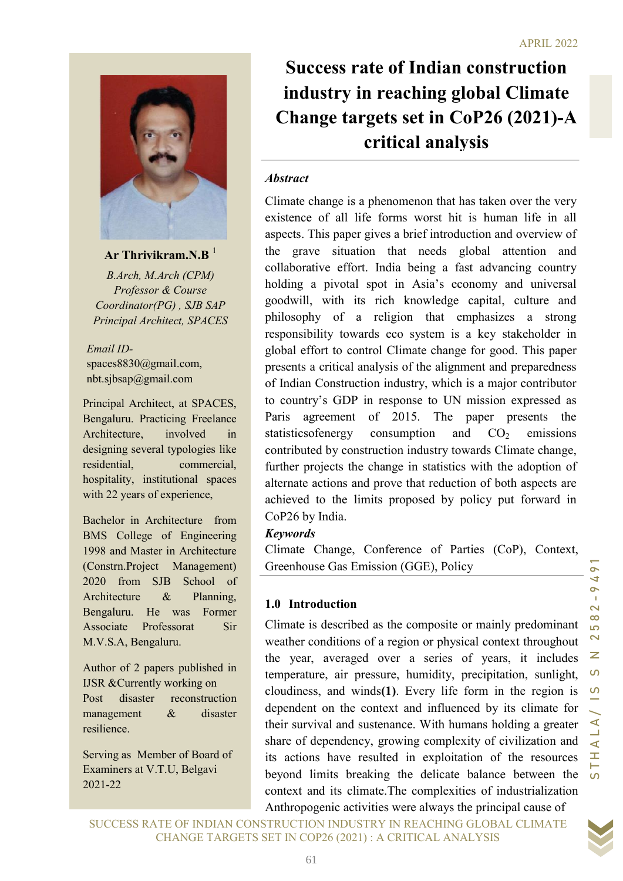

Ar Thrivikram.N.B $^{-1}$ 

B.Arch, M.Arch (CPM) Professor & Course Coordinator(PG) , SJB SAP Principal Architect, SPACES

Email IDspaces8830@gmail.com, nbt.sjbsap@gmail.com

Principal Architect, at SPACES, Bengaluru. Practicing Freelance Architecture, involved in designing several typologies like residential, commercial, hospitality, institutional spaces with 22 years of experience,

Bachelor in Architecture from BMS College of Engineering 1998 and Master in Architecture (Constrn.Project Management) 2020 from SJB School of Architecture & Planning, Bengaluru. He was Former Associate Professorat Sir M.V.S.A, Bengaluru.

Author of 2 papers published in IJSR &Currently working on Post disaster reconstruction management & disaster resilience.

Serving as Member of Board of Examiners at V.T.U, Belgavi 2021-22

Success rate of Indian construction industry in reaching global Climate Change targets set in CoP26 (2021)-A critical analysis

#### **Abstract**

FOR SET IN THE SET IN A CHANGE CHE INTERFERENCE SPACES and strengths of a religion that emphasizes a strong the space of this paper presents are in good. This paper presents a religion of the countrol Clinate change for g Climate change is a phenomenon that has taken over the very existence of all life forms worst hit is human life in all aspects. This paper gives a brief introduction and overview of the grave situation that needs global attention and collaborative effort. India being a fast advancing country holding a pivotal spot in Asia's economy and universal goodwill, with its rich knowledge capital, culture and philosophy of a religion that emphasizes a strong responsibility towards eco system is a key stakeholder in global effort to control Climate change for good. This paper presents a critical analysis of the alignment and preparedness of Indian Construction industry, which is a major contributor to country's GDP in response to UN mission expressed as Paris agreement of 2015. The paper presents the statistics of energy consumption and  $CO<sub>2</sub>$  emissions contributed by construction industry towards Climate change, further projects the change in statistics with the adoption of alternate actions and prove that reduction of both aspects are achieved to the limits proposed by policy put forward in CoP26 by India.

#### Keywords

Climate Change, Conference of Parties (CoP), Context, Greenhouse Gas Emission (GGE), Policy

#### 1.0 Introduction

Climate is described as the composite or mainly predominant weather conditions of a region or physical context throughout the year, averaged over a series of years, it includes temperature, air pressure, humidity, precipitation, sunlight, cloudiness, and winds(1). Every life form in the region is dependent on the context and influenced by its climate for their survival and sustenance. With humans holding a greater share of dependency, growing complexity of civilization and its actions have resulted in exploitation of the resources beyond limits breaking the delicate balance between the context and its climate.The complexities of industrialization Anthropogenic activities were always the principal cause of

SUCCESS RATE OF INDIAN CONSTRUCTION INDUSTRY IN REACHING GLOBAL CLIMATE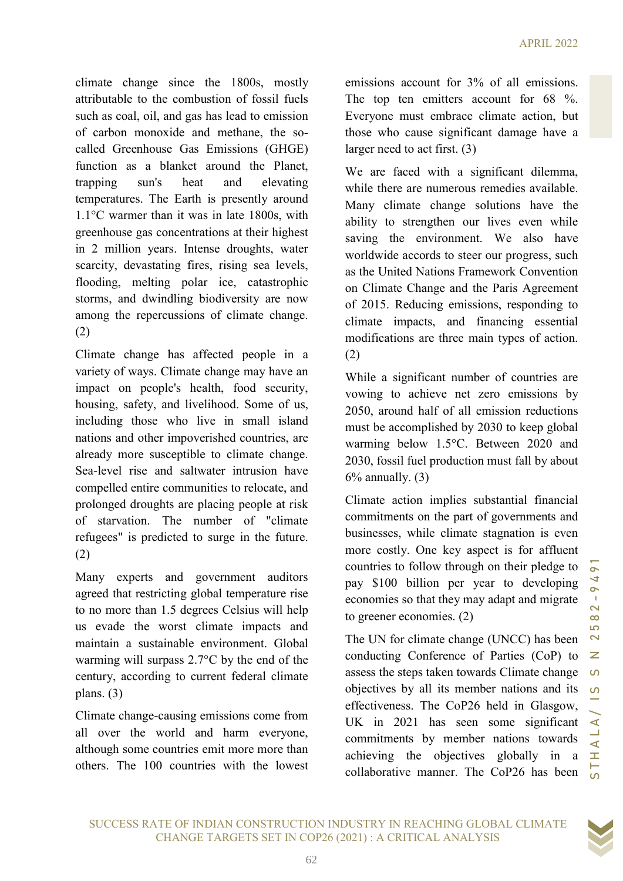climate change since the 1800s, mostly attributable to the combustion of fossil fuels such as coal, oil, and gas has lead to emission of carbon monoxide and methane, the socalled Greenhouse Gas Emissions (GHGE) function as a blanket around the Planet, trapping sun's heat and elevating temperatures. The Earth is presently around 1.1°C warmer than it was in late 1800s, with greenhouse gas concentrations at their highest in 2 million years. Intense droughts, water scarcity, devastating fires, rising sea levels, flooding, melting polar ice, catastrophic storms, and dwindling biodiversity are now among the repercussions of climate change. (2)

Climate change has affected people in a variety of ways. Climate change may have an impact on people's health, food security, housing, safety, and livelihood. Some of us, including those who live in small island nations and other impoverished countries, are already more susceptible to climate change. Sea-level rise and saltwater intrusion have compelled entire communities to relocate, and prolonged droughts are placing people at risk of starvation. The number of "climate refugees" is predicted to surge in the future. (2)

Many experts and government auditors agreed that restricting global temperature rise to no more than 1.5 degrees Celsius will help us evade the worst climate impacts and maintain a sustainable environment. Global warming will surpass 2.7°C by the end of the century, according to current federal climate plans. (3)

Climate change-causing emissions come from all over the world and harm everyone, although some countries emit more more than others. The 100 countries with the lowest

emissions account for 3% of all emissions. The top ten emitters account for 68 %. Everyone must embrace climate action, but those who cause significant damage have a larger need to act first. (3)

We are faced with a significant dilemma, while there are numerous remedies available. Many climate change solutions have the ability to strengthen our lives even while saving the environment. We also have worldwide accords to steer our progress, such as the United Nations Framework Convention on Climate Change and the Paris Agreement of 2015. Reducing emissions, responding to climate impacts, and financing essential modifications are three main types of action. (2)

While a significant number of countries are vowing to achieve net zero emissions by 2050, around half of all emission reductions must be accomplished by 2030 to keep global warming below 1.5°C. Between 2020 and 2030, fossil fuel production must fall by about  $6\%$  annually.  $(3)$ 

Climate action implies substantial financial commitments on the part of governments and businesses, while climate stagnation is even more costly. One key aspect is for affluent countries to follow through on their pledge to pay \$100 billion per year to developing economies so that they may adapt and migrate to greener economies. (2)

indling biodiversity are now<br>
or 2015. Reducing emissions, responding to<br>
cluster along the complexity and fillmations are three main types of action.<br>
LG cluster people in a (2)<br>
while a significant number of countries a The UN for climate change (UNCC) has been conducting Conference of Parties (CoP) to assess the steps taken towards Climate change objectives by all its member nations and its effectiveness. The CoP26 held in Glasgow, UK in 2021 has seen some significant commitments by member nations towards achieving the objectives globally in a collaborative manner. The CoP26 has been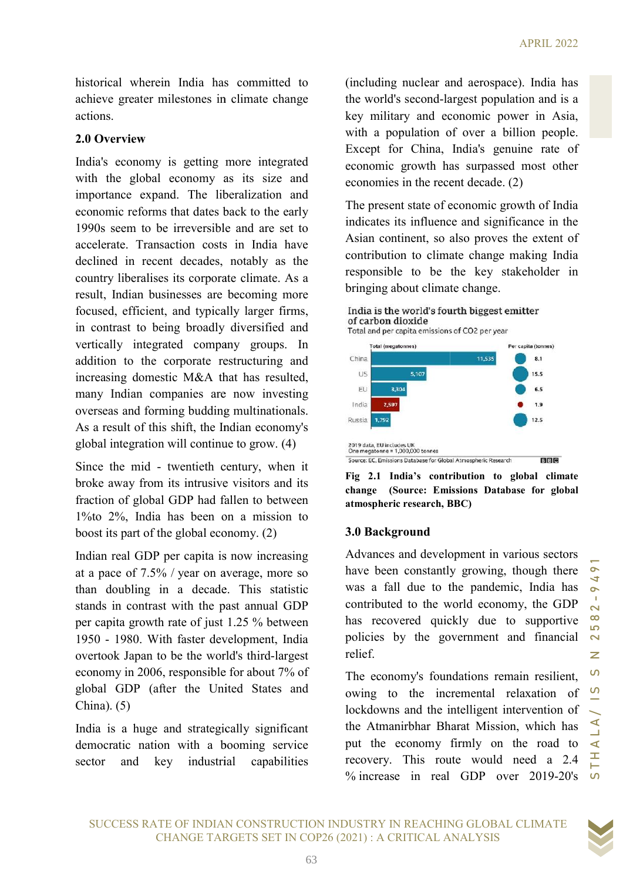historical wherein India has committed to achieve greater milestones in climate change actions.

#### 2.0 Overview

India's economy is getting more integrated with the global economy as its size and importance expand. The liberalization and economic reforms that dates back to the early 1990s seem to be irreversible and are set to accelerate. Transaction costs in India have declined in recent decades, notably as the country liberalises its corporate climate. As a result, Indian businesses are becoming more focused, efficient, and typically larger in contrast to being broadly diversified and vertically integrated company groups. In addition to the corporate restructuring and increasing domestic M&A that has resulted, many Indian companies are now investing overseas and forming budding multin As a result of this shift, the Indian economy's global integration will continue to grow. (4) global integration will continue to grow. trivial wherein India has committed to the indulting under<br>notice of the world's sceedure and accredited to the world's sceedure<br>SUC greater milestones in eliminate change<br>in the world's sceedure are the world's common int achieve greater milestones in climate change<br>actions.<br>2.0 Overview<br>India's economy is getting more integrated<br>with the global economy as its size and<br>importance expand. The liberalization and<br>economic reforms that dates ba to the corporate restructuring and<br>g domestic M&A that has resulted,<br>lian companies are now investing<br>and forming budding multinationals. wherein India has committed to (including nuclear and acrospace). India has exactly interest and the service and the service and the service and the service and the service and continue and continue properties and continu

Since the mid - twentieth century, when it broke away from its intrusive visitors and its broke away from its intrusive visitors and its fraction of global GDP had fallen to between 1%to 2%, India has been on a mission to boost its part of the global economy. (2) boost its part of the global economy.

Indian real GDP per capita is now increasing at a pace of 7.5% / year on average, more so than doubling in a decade. This statistic stands in contrast with the past annual GDP per capita growth rate of just 1.25 % between 1950 - 1980. With faster development, India overtook Japan to be the world's third economy in 2006, responsible for about 7% of global GDP (after the United States and China). (5) ndian real GDP per capita is now increasing<br>t a pace of 7.5% / year on average, more so<br>han doubling in a decade. This statistic<br>tands in contrast with the past annual GDP<br>per capita growth rate of just 1.25 % between<br>950

India is a huge and strategically significant democratic nation with a booming service sector and key industrial capabilities

the world's second-largest population and is a key military and economic power in Asia, with a population of over a billion people. Except for China, India's genuine rate of economic growth has surpassed most other economies in the recent decade. (2)

The present state of economic growth of India indicates its influence and significance in the Asian continent, so also proves the extent of contribution to climate change making India responsible to be the key stakeholder in bringing about climate change.



Fig 2.1 India's contribution to global climate change (Source: Emissions Database for global atmospheric research, BBC)

## 3.0 Background

Advances and development in various sectors have been constantly growing, though there was a fall due to the pandemic, India has contributed to the world economy, the GDP has recovered quickly due to supportive policies by the government and financial relief. For capita (tonnes)<br> **Solution**<br> **Solution**<br> **Solution**<br> **Solution**<br> **Solution**<br> **Solution**<br> **Solution**<br> **Solution**<br> **Solution**<br> **Solution**<br> **Solution**<br> **Solution**<br> **Solution**<br> **Solution**<br> **Solution**<br> **Solution**<br> **Solutio** 

The economy's foundations remain resilient, owing to the incremental relaxation of lockdowns and the intelligent intervention of the Atmanirbhar Bharat Mission, which has put the economy firmly on the road to recovery. This route would need a 2.4 % increase in real GDP over 2019 2019-20's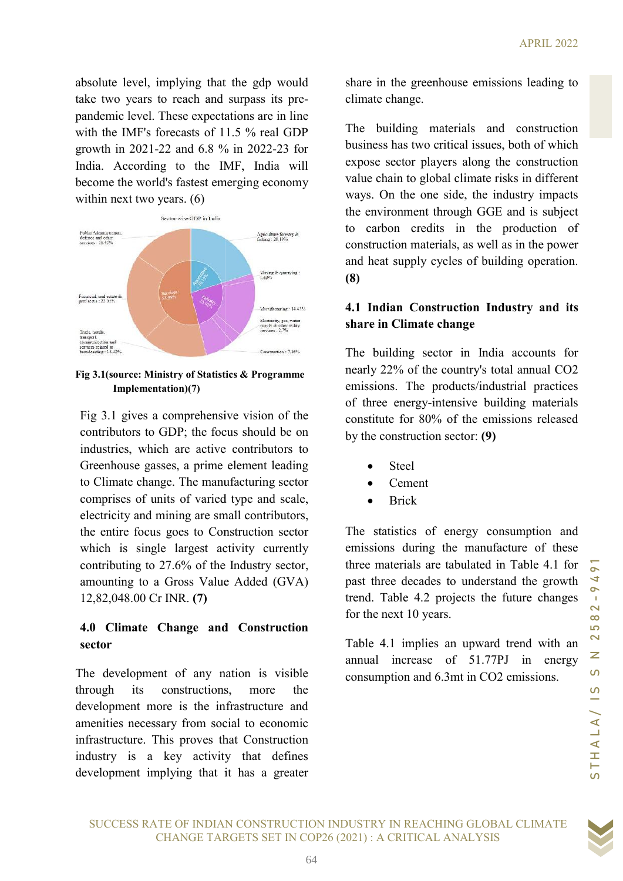absolute level, implying that the gdp would take two years to reach and surpass its pre pandemic level. These expectations are in line<br>with the IMF's forecasts of 11.5 % real GDP<br>growth in 2021-22 and 6.8 % in 2022-23 for with the IMF's forecasts of 11.5 % real GDP growth in 2021-22 and 6.8 % in 2022-23 for India. According to the IMF, India will India. According to the IMF, India will<br>become the world's fastest emerging economy within next two years. (6)



Fig 3.1(source: Ministry of Statistics & Programme Fig 3.1(source: Implementation)(7)

Fig 3.1 gives a comprehensive vision of the contributors to GDP; the focus should be on industries, which are active contributors to Greenhouse gasses, a prime element leading to Climate change. The manufacturing sector comprises of units of varied type an electricity and mining are small contributors, the entire focus goes to Construction sector which is single largest activity currently the entire focus goes to Construction sector which is single largest activity currently contributing to 27.6% of the Industry sector, amounting to a Gross Value Added (GVA) 12,82,048.00 Cr INR. (7) SUCCE (implying that the gelty could be three totals and the sychology could<br>
altaxies be two years to reach dampass its pre-<br>
that the IMF's forecasts of 11.5 % real GDP The building materials an<br>
decided the IMF's forec is to GDP; the focus should be on<br>which are active contributors to<br>e gasses, a prime element leading<br>change. The manufacturing sector<br>of units of varied type and scale, share the expectation of the grap work in the grap work is a large to the statistic between the statistic scontinuous and the greater in the greenhouse of the Si the Channel and the MFS forecasts of 11.5 % end GDP The bui

## 4.0 Climate Change and Construction sector

The development of any nation is visible through its constructions, more the development more is the infrastructure and amenities necessary from social to economic infrastructure. This proves that Construction industry is a key activity that defines development implying that it has a greater climate change. share in the greenhouse emissions leading to

The building materials and construction business has two critical issues, both of which expose sector players along the construction value chain to global climate risks in different ways. On the one side, the industry impacts the environment through GGE and is subject to carbon credits in the production of construction materials, as well as in the power and heat supply cycles of building operation. (8)

# 4.1 Indian Construction Industry and its share in Climate change

The building sector in India accounts for nearly 22% of the country's total annual CO2 emissions. The products/industrial practices of three energy-intensive building materials<br>constitute for 80% of the emissions released<br>by the construction sector: (9) constitute for 80% of the emissions released by the construction sector:  $(9)$ **Solution** and its<br>
a accounts for<br>
tal annual CO2<br>
strial practices<br>
Iding materials<br>
ssions released<br>
ssions released<br>
numption and<br>
curre of these<br>
numption and<br>
future of these<br>
numption and<br>
future changes<br>  $\frac{1}{\sqrt{$ 

- Steel
- Cement
- Brick

The statistics of energy consumption and emissions during the manufacture of these three materials are tabulated in Table 4.1 for past three decades to understand the growth trend. Table 4.2 projects the future changes for the next 10 years.

Table 4.1 implies an upward trend with an annual increase of 51.77PJ in energy consumption and 6.3mt in CO2 emissions.

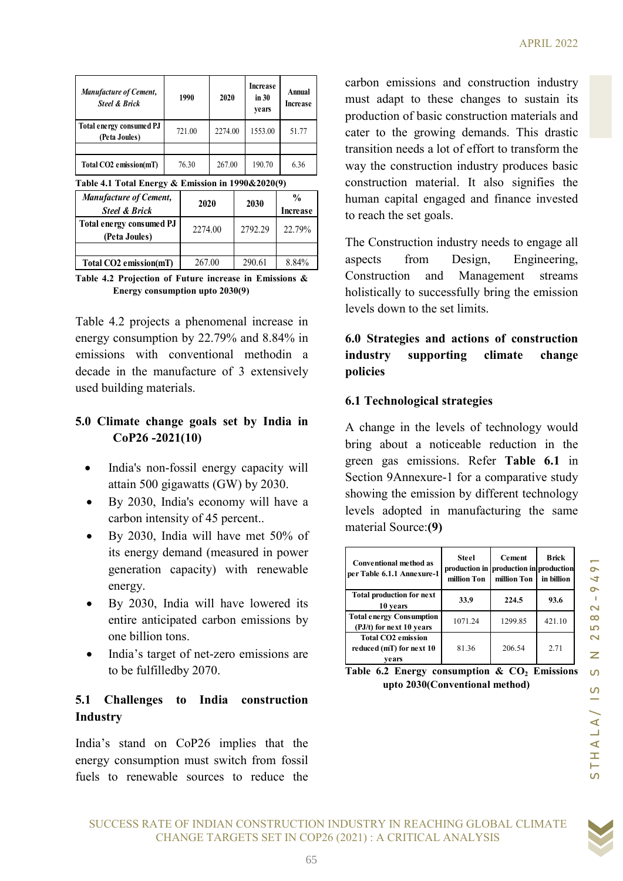|                                                                             |        |         |                            |                    | <b>APRIL 2</b>                                                                        |  |
|-----------------------------------------------------------------------------|--------|---------|----------------------------|--------------------|---------------------------------------------------------------------------------------|--|
| <b>Manufacture of Cement,</b><br><b>Steel &amp; Brick</b>                   | 1990   | 2020    | Increase<br>in 30<br>years | Annual<br>Increase | carbon emissions and construction indus<br>must adapt to these changes to sustain     |  |
| Total energy consumed PJ<br>(Peta Joules)                                   | 721.00 | 2274.00 | 1553.00                    | 51.77              | production of basic construction materials<br>cater to the growing demands. This dra  |  |
|                                                                             |        |         |                            |                    | transition needs a lot of effort to transform                                         |  |
| Total CO2 emission(mT)<br>Table 4.1 Total Energy & Emission in 1990&2020(9) | 76.30  | 267.00  | 190.70                     | 6.36               | way the construction industry produces ba<br>construction material. It also signifies |  |

| Total energy consumed PJ<br>(Peta Joules) | 2274.00 | 2792.29 | 22.79% |
|-------------------------------------------|---------|---------|--------|
|                                           |         |         |        |
| Total CO2 emission(mT)                    | 267.00  | 290.61  | 8.84%  |

Table 4.2 Projection of Future increase in Emissions & Energy consumption upto 2030(9)

Table 4.2 projects a phenomenal increase in energy consumption by 22.79% and 8.84% in emissions with conventional methodin a decade in the manufacture of 3 extensively used building materials.

## 5.0 Climate change goals set by India in CoP26 -2021(10)

- India's non-fossil energy capacity will attain 500 gigawatts (GW) by 2030.
- By 2030, India's economy will have a carbon intensity of 45 percent..
- By 2030, India will have met 50% of its energy demand (measured in power generation capacity) with renewable energy.
- By 2030, India will have lowered its entire anticipated carbon emissions by one billion tons.
- India's target of net-zero emissions are to be fulfilledby 2070.

## 5.1 Challenges to India construction Industry

India's stand on CoP26 implies that the energy consumption must switch from fossil fuels to renewable sources to reduce the

Increase carbon emissions and construction industry  $\lim_{n \to \infty}$  Annual must adapt to these changes to sustain its production of basic construction materials and years cater to the growing demands. This drastic transition needs a lot of effort to transform the way the construction industry produces basic construction material. It also signifies the human capital engaged and finance invested Increase to reach the set goals.  $Increase$   $IIust$   $a u a p t$  to  $IIcsc$  $\begin{array}{|c|c|c|c|c|}\n \hline\n 1990 & & & \text{Increase} & \text{Annual} & \text{carbon emissions and construction industry} & \text{must adapt to these changes to sustain its production of basic construction materials and cater to the growing demands. This drastic transition needs a lot of effort to transform the way the construction industry produces basic construction material. It also signifies the human capital engaged and finance invested.\n\hline\n$ Manufacture of Cement,<br>
Steel & Brick<br>
Steel & Brick<br>
(Ptia Johnes) 1990 2020 Increase<br>
Total Consequence of Cement<br>
Collect Consequence of Cement<br>
Collect Consequence of Cement<br>
Total CO2 emission(mT) 76.30 267.00 190.70 APRIL 2022<br>
Stette of Cement,<br>
Network Cement (1990 2020 1000 2020 1000 2020 1000 2020 1000 2030 2274.00 2274.00 1553.00 51.77<br>
Network 2020 2274.00 2274.00 1553.00 51.77<br>
The construction metric of Desic construction met **Example 12002**<br> **Example 12002**<br> **Example 12002**<br> **Example 12002**<br> **Example 12002**<br> **Example 12014**<br> **Example 12014**<br> **Example 12014**<br> **Example 12014**<br> **Example 12014**<br> **Example 12014**<br> **Example 12014**<br> **Example 12014**<br> Mentgrave of Cenesis, 1990<br>
Significant of Cenesis (New 1990 2000)<br>
Significant of Cenesis (New 1990 2274.00 2274.00 2000 1990.<br>
Total CO2 emission(mT) 76.50 2010 199.70 199.70 199.70 199.70 199.70 199.70 199.70 199.70 19

The Construction industry needs to engage all aspects from Design, Engineering, Construction and Management streams holistically to successfully bring the emission levels down to the set limits.

# 6.0 Strategies and actions of construction industry supporting climate change policies

# 6.1 Technological strategies

| isumption upto 2000(7)                                                                                                                                                                        | noustically to successfully bring the emission<br>levels down to the set limits.                                                                                                                                                                                                                      |                      |                                                      |                                   |
|-----------------------------------------------------------------------------------------------------------------------------------------------------------------------------------------------|-------------------------------------------------------------------------------------------------------------------------------------------------------------------------------------------------------------------------------------------------------------------------------------------------------|----------------------|------------------------------------------------------|-----------------------------------|
| cts a phenomenal increase in<br>otion by 22.79% and $8.84\%$ in<br>conventional methodin a<br>manufacture of 3 extensively<br>aterials.                                                       | 6.0 Strategies and actions of construction<br>industry<br>supporting<br>policies                                                                                                                                                                                                                      |                      | climate                                              | change                            |
|                                                                                                                                                                                               | <b>6.1 Technological strategies</b>                                                                                                                                                                                                                                                                   |                      |                                                      |                                   |
| ange goals set by India in<br>2021(10)<br>on-fossil energy capacity will<br>) gigawatts $(GW)$ by 2030.<br>India's economy will have a<br>tensity of 45 percent<br>India will have met 50% of | A change in the levels of technology would<br>bring about a noticeable reduction in the<br>green gas emissions. Refer Table 6.1 in<br>Section 9Annexure-1 for a comparative study<br>showing the emission by different technology<br>levels adopted in manufacturing the same<br>material Source: (9) |                      |                                                      |                                   |
| demand (measured in power<br>n capacity) with renewable                                                                                                                                       | Conventional method as<br>per Table 6.1.1 Annexure-1                                                                                                                                                                                                                                                  | Steel<br>million Ton | Cement<br>production in production in<br>million Ton | Brick<br>production<br>in billion |
| India will have lowered its                                                                                                                                                                   | <b>Total production for next</b><br>10 years                                                                                                                                                                                                                                                          | 33.9                 | 224.5                                                | 93.6                              |
| icipated carbon emissions by                                                                                                                                                                  | <b>Total energy Consumption</b><br>(PJ/t) for next 10 years                                                                                                                                                                                                                                           | 1071.24              | 1299.85                                              | 421.10                            |
| n tons.                                                                                                                                                                                       | <b>Total CO2 emission</b><br>reduced (mT) for next 10                                                                                                                                                                                                                                                 | 81.36                | 206.54                                               | 2.71                              |
| rget of net-zero emissions are                                                                                                                                                                | years                                                                                                                                                                                                                                                                                                 |                      |                                                      |                                   |
| illedby 2070.                                                                                                                                                                                 | Table 6.2 Energy consumption & $CO2$ Emissions<br>upto 2030(Conventional method)                                                                                                                                                                                                                      |                      |                                                      |                                   |
| es to India construction                                                                                                                                                                      |                                                                                                                                                                                                                                                                                                       |                      |                                                      |                                   |
| on CoP26 implies that the                                                                                                                                                                     |                                                                                                                                                                                                                                                                                                       |                      |                                                      |                                   |
| ption must switch from fossil                                                                                                                                                                 |                                                                                                                                                                                                                                                                                                       |                      |                                                      |                                   |
| able sources to reduce the                                                                                                                                                                    |                                                                                                                                                                                                                                                                                                       |                      |                                                      |                                   |

Table 6.2 Energy consumption  $\&$  CO<sub>2</sub> Emissions upto 2030(Conventional method)



SUCCESS RATE OF INDIAN CONSTRUCTION INDUSTRY IN REACHING GLOBAL CLIMATE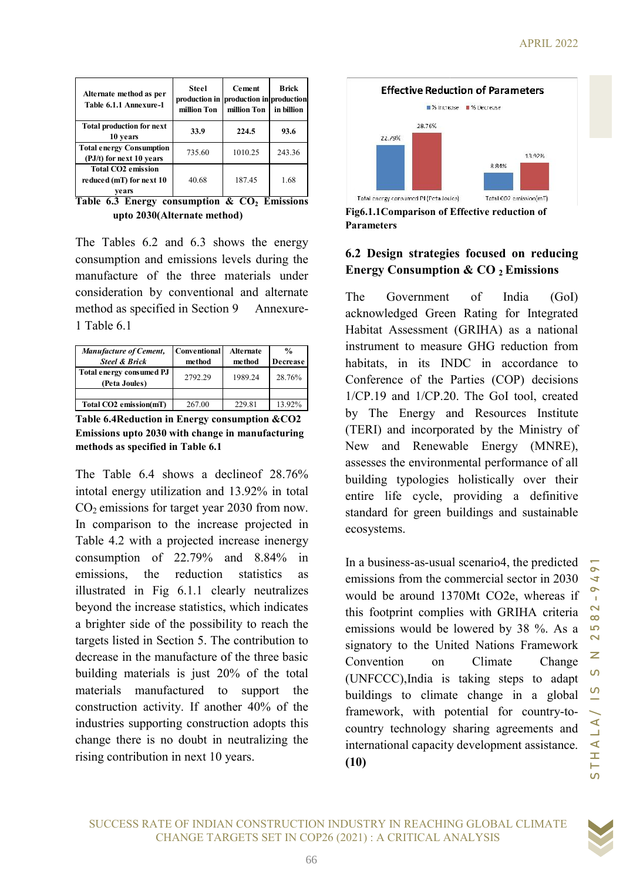| Alternate method as per<br>Table 6.1.1 Annexure-1              | <b>Steel</b><br>production in production in production<br>million Ton | <b>Cement</b><br>million Ton | Brick<br>in billion |
|----------------------------------------------------------------|-----------------------------------------------------------------------|------------------------------|---------------------|
| <b>Total production for next</b><br>10 years                   | 33.9                                                                  | 224.5                        | 93.6                |
| <b>Total energy Consumption</b><br>(PJ/t) for next 10 years    | 735.60                                                                | 1010.25                      | 243.36              |
| <b>Total CO2 emission</b><br>reduced (mT) for next 10<br>vears | 40.68                                                                 | 187.45                       | 1.68                |

Table 6.3 Energy consumption  $\&$   $CO<sub>2</sub>$  Emissions upto 2030(Alternate method) (Alternate method)

The Tables 6.2 and 6.3 shows the energy consumption and emissions levels during the manufacture of the three materials under consideration by conventional and alternate method as specified in Section 1 Table 6.1 and emissions levels during the<br>of the three materials under<br>by conventional and alternate<br>ecified in Section 9 Annexure-

| <b>Manufacture of Cement,</b>             | <b>Conventional</b> | Alternate | $\frac{0}{0}$   | 1nstrui  |  |
|-------------------------------------------|---------------------|-----------|-----------------|----------|--|
| <b>Steel &amp; Brick</b>                  | method              | method    | <b>Decrease</b> | habita   |  |
| Total energy consumed PJ<br>(Peta Joules) | 2792.29             | 1989.24   | 28.76%          | Confe    |  |
|                                           |                     |           |                 | $1/CP$ . |  |
| Total CO2 emission(mT)                    | 267.00              | 229.81    | 13.92%          | ౼        |  |

Table 6.4 Reduction in Energy consumption & CO2 Emissions upto 2030 with change in manufacturing methods as specified in Table 6.1

The Table  $6.4$  shows a decline of  $28.76\%$ intotal energy utilization and 13.92% in total  $CO<sub>2</sub>$  emissions for target year 2030 from now. In comparison to the increase projected in In comparison to the increase projected in Table 4.2 with a projected increase inenergy consumption of 22.79% and 8.84% in emissions, the reduction statistics as emissions, the reduction statistics illustrated in Fig 6.1.1 clearly neutralizes beyond the increase statistics, which indicates a brighter side of the possibility to reach the targets listed in Section 5. The contribution to decrease in the manufacture of the three basic building materials is just 20% of the total materials manufactured to support the construction activity. If another 40% of the industries supporting construction adopts this change there is no doubt in neutralizing the rising contribution in next 10 years. Be 6.3 Leaving constants and CO, Emissions<br>
Figs.1.1 Comparison of Fifterive re-<br>
Top 1030 (Microsoftenia energy<br>
sumption and consistent in the core of the three materials under<br>
infinite Succession Isvets during the<br>
wh ts listed in Section 5. The contribution to<br>case in the manufacture of the three basic<br>ling materials is just 20% of the total<br>rials manufactured to support the<br>truction activity. If another 40% of the<br>stries supporting co



Parameters Fig6.1.1 Comparison of Effective reduction of

# 6.2 Design strategies strategies focused on reducing Energy Consumption & CO <sup>2</sup>Emissions

method method Decrease habitats, in its INDC in accordance to  $2792.29$  |  $1989.24$  |  $28.76\%$  | Conference of the Parties (COP) decisions Alternate method)<br>
Fig6.1.1Comparison of Effective reduction of<br>
emanueters<br>
and 6.3 shows the energy<br>
or  $\Omega$ . Design strategies focused on red<br>
the three materials under<br>
Energy Consumption & CO<sub>2</sub> Emission<br>
conventiona The Government of India acknowledged Green Rating for Integrated Habitat Assessment (GRIHA) as a national  $\frac{1}{\%}$  instrument to measure GHG reduction from 1/CP.19 and 1/CP.20. The GoI tool, created by The Energy and Resources Institute (TERI) and incorporated by the Ministry of New and Renewable Energy (MNRE), assesses the environmental performance of all building typologies holistically over their entire life cycle, providing a definitive standard for green buildings and sustainable ecosystems. (1980)<br>
1987.45 93.6<br>
187.45 1.68<br>
187.45 1.68<br>
187.45 1.68<br>
189.45 1.68<br>
189.45 1.68<br>
198.5<br>
198.5<br>
198.9<br>
198.9<br>
198.9<br>
198.9<br>
198.9<br>
198.9<br>
198.9<br>
198.9<br>
199.9<br>
28.76%<br>
199.9<br>
28.76%<br>
29.9<br>
28.76%<br>
29.9<br>
29.9<br>
29.9<br>
29 229.81<br>
187.45<br>
229.326<br>
229.326<br>
229.81<br>
229.82<br>
229.81<br>
229.82<br>
229.81<br>
229.82<br>
229.81<br>
229.82<br>
229.81<br>
229.82<br>
229.81<br>
229.82<br>
229.82<br>
229.82<br>
229.82<br>
229.82<br>
229.82<br>
229.82<br>
229.82<br>
229.82<br>
229.82<br>
229.82<br>
229.82<br>
229 India (GoI)<br>for Integrated<br>as a national<br>reduction from<br>accordance to<br>COP) decisions<br>of tool, created<br>urces Institute<br>the Ministry of<br>my (MNRE),<br>formance of all<br>ly over their<br>a definitive<br>and sustainable<br>4, the predicted  $(Go)$ 

In a business-as-usual scenario4, the predicted emissions from the commercial sector in 2030 would be around 1370Mt CO2e, whereas if this footprint complies with GRIHA criteria emissions would be lowered by 38 %. As a signatory to the United Nations Framework Convention on Climate Change (UNFCCC),India is taking steps to adapt buildings to climate change in a global (UNFCCC), India is taking steps to adapt<br>buildings to climate change in a global<br>framework, with potential for country-tocountry technology sharing agreements and international capacity development assistance. (10) ss-as-usual scenario4, the predicted<br>from the commercial sector in 2030<br>around 1370Mt CO2e, whereas if<br>nt complies with GRIHA criteria<br>would be lowered by 38 %. As a

SUCCESS RATE OF INDIAN CONSTRUCTION INDUSTRY IN REACHING GLOBAL CLIMATE CHANGE TARGETS SET IN COP26 (2021) : A CRITICAL ANALYSIS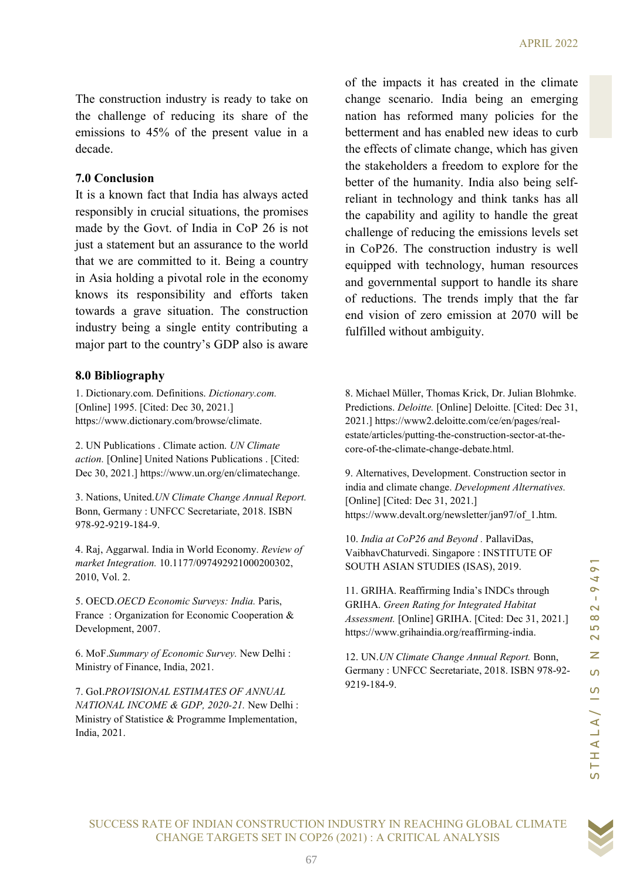The construction industry is ready to take on the challenge of reducing its share of the emissions to 45% of the present value in a decade.

#### 7.0 Conclusion

It is a known fact that India has always acted responsibly in crucial situations, the promises made by the Govt. of India in CoP 26 is not just a statement but an assurance to the world that we are committed to it. Being a country in Asia holding a pivotal role in the economy knows its responsibility and efforts taken towards a grave situation. The construction industry being a single entity contributing a major part to the country's GDP also is aware

#### 8.0 Bibliography

1. Dictionary.com. Definitions. Dictionary.com. [Online] 1995. [Cited: Dec 30, 2021.] https://www.dictionary.com/browse/climate.

2. UN Publications . Climate action. UN Climate action. [Online] United Nations Publications . [Cited: Dec 30, 2021.] https://www.un.org/en/climatechange.

3. Nations, United.UN Climate Change Annual Report. Bonn, Germany : UNFCC Secretariate, 2018. ISBN 978-92-9219-184-9.

4. Raj, Aggarwal. India in World Economy. Review of market Integration. 10.1177/097492921000200302, 2010, Vol. 2.

5. OECD.OECD Economic Surveys: India. Paris, France : Organization for Economic Cooperation & Development, 2007.

6. MoF.Summary of Economic Survey. New Delhi : Ministry of Finance, India, 2021.

7. GoI.PROVISIONAL ESTIMATES OF ANNUAL NATIONAL INCOME & GDP, 2020-21. New Delhi : Ministry of Statistice & Programme Implementation, India, 2021.

of the impacts it has created in the climate change scenario. India being an emerging nation has reformed many policies for the betterment and has enabled new ideas to curb the effects of climate change, which has given the stakeholders a freedom to explore for the better of the humanity. India also being selfreliant in technology and think tanks has all the capability and agility to handle the great challenge of reducing the emissions levels set in CoP26. The construction industry is well equipped with technology, human resources and governmental support to handle its share of reductions. The trends imply that the far end vision of zero emission at 2070 will be fulfilled without ambiguity.

originally und ellicits is keen<br>
estimation and Vision of Zero ermission at 2070 will be<br>
a single entity contributing a<br>
estimation and vision of Zero ermission at 2070 will be<br>
Definitions *Dictionary.com*,<br> **Evaluation** 8. Michael Müller, Thomas Krick, Dr. Julian Blohmke. Predictions. Deloitte. [Online] Deloitte. [Cited: Dec 31, 2021.] https://www2.deloitte.com/ce/en/pages/realestate/articles/putting-the-construction-sector-at-thecore-of-the-climate-change-debate.html.

9. Alternatives, Development. Construction sector in india and climate change. Development Alternatives. [Online] [Cited: Dec 31, 2021.] https://www.devalt.org/newsletter/jan97/of\_1.htm.

10. India at CoP26 and Beyond . PallaviDas, VaibhavChaturvedi. Singapore : INSTITUTE OF SOUTH ASIAN STUDIES (ISAS), 2019.

11. GRIHA. Reaffirming India's INDCs through GRIHA. Green Rating for Integrated Habitat Assessment. [Online] GRIHA. [Cited: Dec 31, 2021.] https://www.grihaindia.org/reaffirming-india.

12. UN.UN Climate Change Annual Report. Bonn, Germany : UNFCC Secretariate, 2018. ISBN 978-92- 9219-184-9.